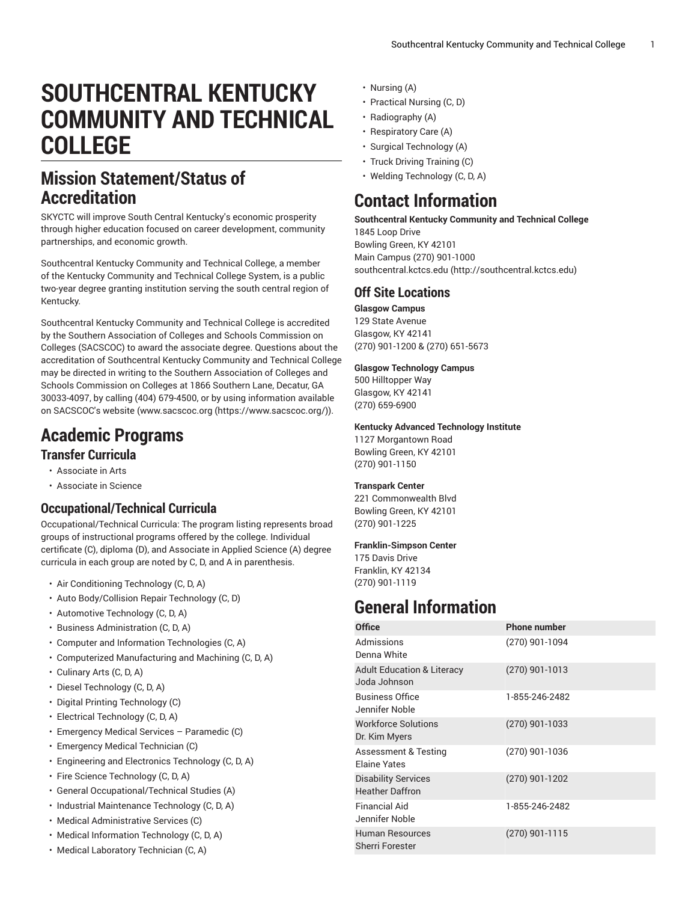# **SOUTHCENTRAL KENTUCKY COMMUNITY AND TECHNICAL COLLEGE**

## **Mission Statement/Status of Accreditation**

SKYCTC will improve South Central Kentucky's economic prosperity through higher education focused on career development, community partnerships, and economic growth.

Southcentral Kentucky Community and Technical College, a member of the Kentucky Community and Technical College System, is a public two-year degree granting institution serving the south central region of Kentucky.

Southcentral Kentucky Community and Technical College is accredited by the Southern Association of Colleges and Schools Commission on Colleges (SACSCOC) to award the associate degree. Questions about the accreditation of Southcentral Kentucky Community and Technical College may be directed in writing to the Southern Association of Colleges and Schools Commission on Colleges at 1866 Southern Lane, Decatur, GA 30033-4097, by calling (404) 679-4500, or by using information available on SACSCOC's website [\(www.sacscoc.org \(https://www.sacscoc.org/\)](https://www.sacscoc.org/)).

# **Academic Programs**

### **Transfer Curricula**

- Associate in Arts
- Associate in Science

### **Occupational/Technical Curricula**

Occupational/Technical Curricula: The program listing represents broad groups of instructional programs offered by the college. Individual certificate (C), diploma (D), and Associate in Applied Science (A) degree curricula in each group are noted by C, D, and A in parenthesis.

- Air Conditioning Technology (C, D, A)
- Auto Body/Collision Repair Technology (C, D)
- Automotive Technology (C, D, A)
- Business Administration (C, D, A)
- Computer and Information Technologies (C, A)
- Computerized Manufacturing and Machining (C, D, A)
- Culinary Arts (C, D, A)
- Diesel Technology (C, D, A)
- Digital Printing Technology (C)
- Electrical Technology (C, D, A)
- Emergency Medical Services Paramedic (C)
- Emergency Medical Technician (C)
- Engineering and Electronics Technology (C, D, A)
- Fire Science Technology (C, D, A)
- General Occupational/Technical Studies (A)
- Industrial Maintenance Technology (C, D, A)
- Medical Administrative Services (C)
- Medical Information Technology (C, D, A)
- Medical Laboratory Technician (C, A)
- Nursing (A)
- Practical Nursing (C, D)
- Radiography (A)
- Respiratory Care (A)
- Surgical Technology (A)
- Truck Driving Training (C)
- Welding Technology (C, D, A)

## **Contact Information**

**Southcentral Kentucky Community and Technical College** 1845 Loop Drive Bowling Green, KY 42101 Main Campus (270) 901-1000 [southcentral.kctcs.edu](http://southcentral.kctcs.edu) (<http://southcentral.kctcs.edu>)

### **Off Site Locations**

**Glasgow Campus**

129 State Avenue Glasgow, KY 42141 (270) 901-1200 & (270) 651-5673

#### **Glasgow Technology Campus**

500 Hilltopper Way Glasgow, KY 42141 (270) 659-6900

#### **Kentucky Advanced Technology Institute**

1127 Morgantown Road Bowling Green, KY 42101 (270) 901-1150

#### **Transpark Center**

221 Commonwealth Blvd Bowling Green, KY 42101 (270) 901-1225

#### **Franklin-Simpson Center**

175 Davis Drive Franklin, KY 42134 (270) 901-1119

# **General Information**

| <b>Office</b>                                          | <b>Phone number</b> |
|--------------------------------------------------------|---------------------|
| Admissions<br>Denna White                              | (270) 901-1094      |
| <b>Adult Education &amp; Literacy</b><br>Joda Johnson  | $(270)$ 901-1013    |
| <b>Business Office</b><br>Jennifer Noble               | 1-855-246-2482      |
| <b>Workforce Solutions</b><br>Dr. Kim Myers            | $(270)$ 901-1033    |
| <b>Assessment &amp; Testing</b><br><b>Flaine Yates</b> | (270) 901-1036      |
| <b>Disability Services</b><br><b>Heather Daffron</b>   | $(270)$ 901-1202    |
| <b>Financial Aid</b><br>Jennifer Noble                 | 1-855-246-2482      |
| <b>Human Resources</b><br>Sherri Forester              | (270) 901-1115      |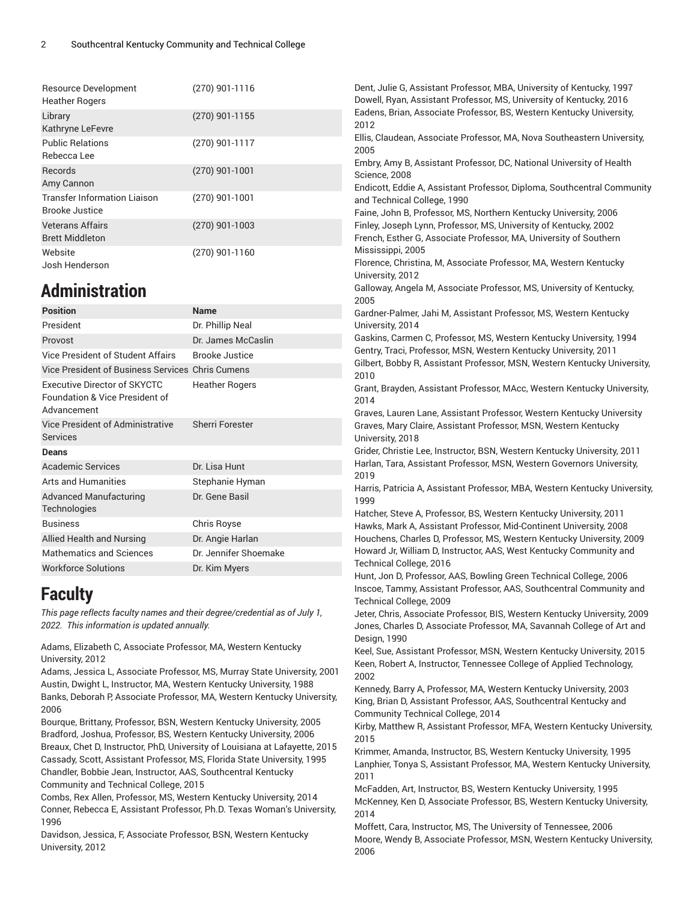| Resource Development<br><b>Heather Rogers</b>                | $(270)$ 901-1116 | Dent, Julie G, Assistant Professor, MBA, University of Kentucky, 1997<br>Dowell, Ryan, Assistant Professor, MS, University of Kentucky, 2016            |
|--------------------------------------------------------------|------------------|---------------------------------------------------------------------------------------------------------------------------------------------------------|
| Library<br>Kathryne LeFevre                                  | $(270)$ 901-1155 | Eadens, Brian, Associate Professor, BS, Western Kentucky University,<br>2012                                                                            |
| <b>Public Relations</b><br>Rebecca Lee                       | $(270)$ 901-1117 | Ellis, Claudean, Associate Professor, MA, Nova Southeastern University,<br>2005<br>Embry, Amy B, Assistant Professor, DC, National University of Health |
| Records<br>Amy Cannon                                        | $(270)$ 901-1001 | Science, 2008<br>Endicott, Eddie A, Assistant Professor, Diploma, Southcentral Community                                                                |
| <b>Transfer Information Liaison</b><br><b>Brooke Justice</b> | $(270)$ 901-1001 | and Technical College, 1990<br>Faine, John B, Professor, MS, Northern Kentucky University, 2006                                                         |
| <b>Veterans Affairs</b><br><b>Brett Middleton</b>            | $(270)$ 901-1003 | Finley, Joseph Lynn, Professor, MS, University of Kentucky, 2002<br>French, Esther G, Associate Professor, MA, University of Southern                   |
| Website<br>Josh Henderson                                    | $(270)$ 901-1160 | Mississippi, 2005<br>Florence, Christina, M. Associate Professor, MA, Western Kentucky<br>University, 2012                                              |
| <b>Administration</b>                                        |                  | Galloway, Angela M, Associate Professor, MS, University of Kentucky,<br>2005                                                                            |

| Administration                                                                                  |                        | Galloway, Angela M, Associate Professor, MS, University of Kentucky,<br>2005                                                                                                                                                                                                                                                                                                                                                                                                                                                                                            |
|-------------------------------------------------------------------------------------------------|------------------------|-------------------------------------------------------------------------------------------------------------------------------------------------------------------------------------------------------------------------------------------------------------------------------------------------------------------------------------------------------------------------------------------------------------------------------------------------------------------------------------------------------------------------------------------------------------------------|
| <b>Position</b>                                                                                 | <b>Name</b>            | Gardner-Palmer, Jahi M, Assistant Professor, MS, Western Kentucky<br>University, 2014<br>Gaskins, Carmen C, Professor, MS, Western Kentucky University, 1994<br>Gentry, Traci, Professor, MSN, Western Kentucky University, 2011<br>Gilbert, Bobby R, Assistant Professor, MSN, Western Kentucky University,<br>2010<br>Grant, Brayden, Assistant Professor, MAcc, Western Kentucky University,<br>2014<br>Graves, Lauren Lane, Assistant Professor, Western Kentucky University<br>Graves, Mary Claire, Assistant Professor, MSN, Western Kentucky<br>University, 2018 |
| President                                                                                       | Dr. Phillip Neal       |                                                                                                                                                                                                                                                                                                                                                                                                                                                                                                                                                                         |
| Provost                                                                                         | Dr. James McCaslin     |                                                                                                                                                                                                                                                                                                                                                                                                                                                                                                                                                                         |
| Vice President of Student Affairs                                                               | <b>Brooke Justice</b>  |                                                                                                                                                                                                                                                                                                                                                                                                                                                                                                                                                                         |
| Vice President of Business Services Chris Cumens                                                |                        |                                                                                                                                                                                                                                                                                                                                                                                                                                                                                                                                                                         |
| <b>Executive Director of SKYCTC</b><br><b>Foundation &amp; Vice President of</b><br>Advancement | <b>Heather Rogers</b>  |                                                                                                                                                                                                                                                                                                                                                                                                                                                                                                                                                                         |
| Vice President of Administrative<br><b>Services</b>                                             | <b>Sherri Forester</b> |                                                                                                                                                                                                                                                                                                                                                                                                                                                                                                                                                                         |
| <b>Deans</b>                                                                                    |                        | Grider, Christie Lee, Instructor, BSN, Western Kentucky University, 2011                                                                                                                                                                                                                                                                                                                                                                                                                                                                                                |
| <b>Academic Services</b>                                                                        | Dr. Lisa Hunt          | Harlan, Tara, Assistant Professor, MSN, Western Governors University,<br>2019<br>Harris, Patricia A, Assistant Professor, MBA, Western Kentucky University,<br>1999<br>Hatcher, Steve A, Professor, BS, Western Kentucky University, 2011<br>Hawks, Mark A, Assistant Professor, Mid-Continent University, 2008<br>Houchens, Charles D, Professor, MS, Western Kentucky University, 2009<br>Howard Jr, William D, Instructor, AAS, West Kentucky Community and<br>Technical College, 2016<br>Hunt Jon D Professor AAS Rowling Croop Tooppiool College 2006              |
| <b>Arts and Humanities</b>                                                                      | Stephanie Hyman        |                                                                                                                                                                                                                                                                                                                                                                                                                                                                                                                                                                         |
| <b>Advanced Manufacturing</b><br><b>Technologies</b>                                            | Dr. Gene Basil         |                                                                                                                                                                                                                                                                                                                                                                                                                                                                                                                                                                         |
| <b>Business</b>                                                                                 | Chris Royse            |                                                                                                                                                                                                                                                                                                                                                                                                                                                                                                                                                                         |
| Allied Health and Nursing                                                                       | Dr. Angie Harlan       |                                                                                                                                                                                                                                                                                                                                                                                                                                                                                                                                                                         |
| <b>Mathematics and Sciences</b>                                                                 | Dr. Jennifer Shoemake  |                                                                                                                                                                                                                                                                                                                                                                                                                                                                                                                                                                         |
| <b>Workforce Solutions</b>                                                                      | Dr. Kim Myers          |                                                                                                                                                                                                                                                                                                                                                                                                                                                                                                                                                                         |

## **Faculty**

*This page reflects faculty names and their degree/credential as of July 1, 2022. This information is updated annually.*

Adams, Elizabeth C, Associate Professor, MA, Western Kentucky University, 2012

Adams, Jessica L, Associate Professor, MS, Murray State University, 2001 Austin, Dwight L, Instructor, MA, Western Kentucky University, 1988 Banks, Deborah P, Associate Professor, MA, Western Kentucky University, 2006

Bourque, Brittany, Professor, BSN, Western Kentucky University, 2005 Bradford, Joshua, Professor, BS, Western Kentucky University, 2006 Breaux, Chet D, Instructor, PhD, University of Louisiana at Lafayette, 2015 Cassady, Scott, Assistant Professor, MS, Florida State University, 1995 Chandler, Bobbie Jean, Instructor, AAS, Southcentral Kentucky Community and Technical College, 2015

Combs, Rex Allen, Professor, MS, Western Kentucky University, 2014 Conner, Rebecca E, Assistant Professor, Ph.D. Texas Woman's University, 1996

Davidson, Jessica, F, Associate Professor, BSN, Western Kentucky University, 2012

Hunt, Jon D, Professor, AAS, Bowling Green Technical College, 2006 Inscoe, Tammy, Assistant Professor, AAS, Southcentral Community and Technical College, 2009 Jeter, Chris, Associate Professor, BIS, Western Kentucky University, 2009 Jones, Charles D, Associate Professor, MA, Savannah College of Art and Design, 1990 Keel, Sue, Assistant Professor, MSN, Western Kentucky University, 2015 Keen, Robert A, Instructor, Tennessee College of Applied Technology, 2002

Kennedy, Barry A, Professor, MA, Western Kentucky University, 2003 King, Brian D, Assistant Professor, AAS, Southcentral Kentucky and Community Technical College, 2014

Kirby, Matthew R, Assistant Professor, MFA, Western Kentucky University, 2015

Krimmer, Amanda, Instructor, BS, Western Kentucky University, 1995 Lanphier, Tonya S, Assistant Professor, MA, Western Kentucky University, 2011

McFadden, Art, Instructor, BS, Western Kentucky University, 1995 McKenney, Ken D, Associate Professor, BS, Western Kentucky University, 2014

Moffett, Cara, Instructor, MS, The University of Tennessee, 2006 Moore, Wendy B, Associate Professor, MSN, Western Kentucky University, 2006